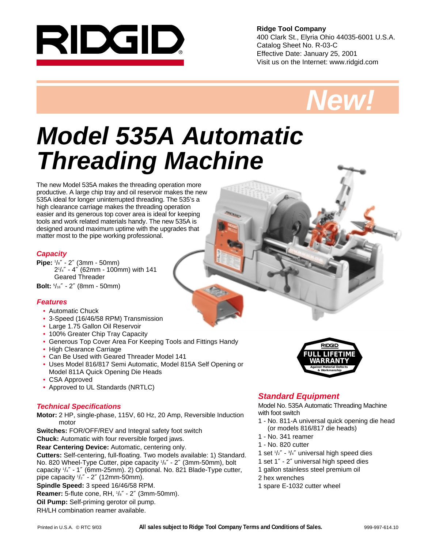

**Ridge Tool Company** 400 Clark St., Elyria Ohio 44035-6001 U.S.A. Catalog Sheet No. R-03-C Effective Date: January 25, 2001 Visit us on the Internet: www.ridgid.com



# **Model 535A Automatic Threading Machine**

The new Model 535A makes the threading operation more productive. A large chip tray and oil reservoir makes the new 535A ideal for longer uninterrupted threading. The 535's a high clearance carriage makes the threading operation easier and its generous top cover area is ideal for keeping tools and work related materials handy. The new 535A is designed around maximum uptime with the upgrades that matter most to the pipe working professional.

#### **Capacity**

**Pipe:** <sup>1</sup> /8″ - 2″ (3mm - 50mm) 21 /4″ - 4″ (62mm - 100mm) with 141 Geared Threader

**Bolt:** <sup>5</sup> /16″ - 2″ (8mm - 50mm)

### **Features**

- Automatic Chuck
- 3-Speed (16/46/58 RPM) Transmission
- Large 1.75 Gallon Oil Reservoir
- 100% Greater Chip Tray Capacity
- Generous Top Cover Area For Keeping Tools and Fittings Handy
- High Clearance Carriage
- Can Be Used with Geared Threader Model 141
- Uses Model 816/817 Semi Automatic, Model 815A Self Opening or Model 811A Quick Opening Die Heads
- CSA Approved
- Approved to UL Standards (NRTLC)

#### **Technical Specifications**

**Motor:** 2 HP, single-phase, 115V, 60 Hz, 20 Amp, Reversible Induction motor

**Switches:** FOR/OFF/REV and Integral safety foot switch

**Chuck:** Automatic with four reversible forged jaws.

**Rear Centering Device:** Automatic, centering only.

**Cutters:** Self-centering, full-floating. Two models available: 1) Standard. No. 820 Wheel-Type Cutter, pipe capacity  $1/s''$  - 2" (3mm-50mm), bolt capacity 1 /4″ - 1″ (6mm-25mm). 2) Optional. No. 821 Blade-Type cutter, pipe capacity 1 /2″ - 2″ (12mm-50mm).

**Spindle Speed:** 3 speed 16/46/58 RPM.

**Reamer:** 5-flute cone, RH, 1 /8″ - 2″ (3mm-50mm).

**Oil Pump:** Self-priming gerotor oil pump.

RH/LH combination reamer available.



# **Standard Equipment**

Model No. 535A Automatic Threading Machine with foot switch

- 1 No. 811-A universal quick opening die head (or models 816/817 die heads)
- 1 No. 341 reamer
- 1 No. 820 cutter
- 1 set  $1/z'' 3/4''$  universal high speed dies
- 1 set 1″ 2″ universal high speed dies
- 1 gallon stainless steel premium oil
- 2 hex wrenches
- 1 spare E-1032 cutter wheel